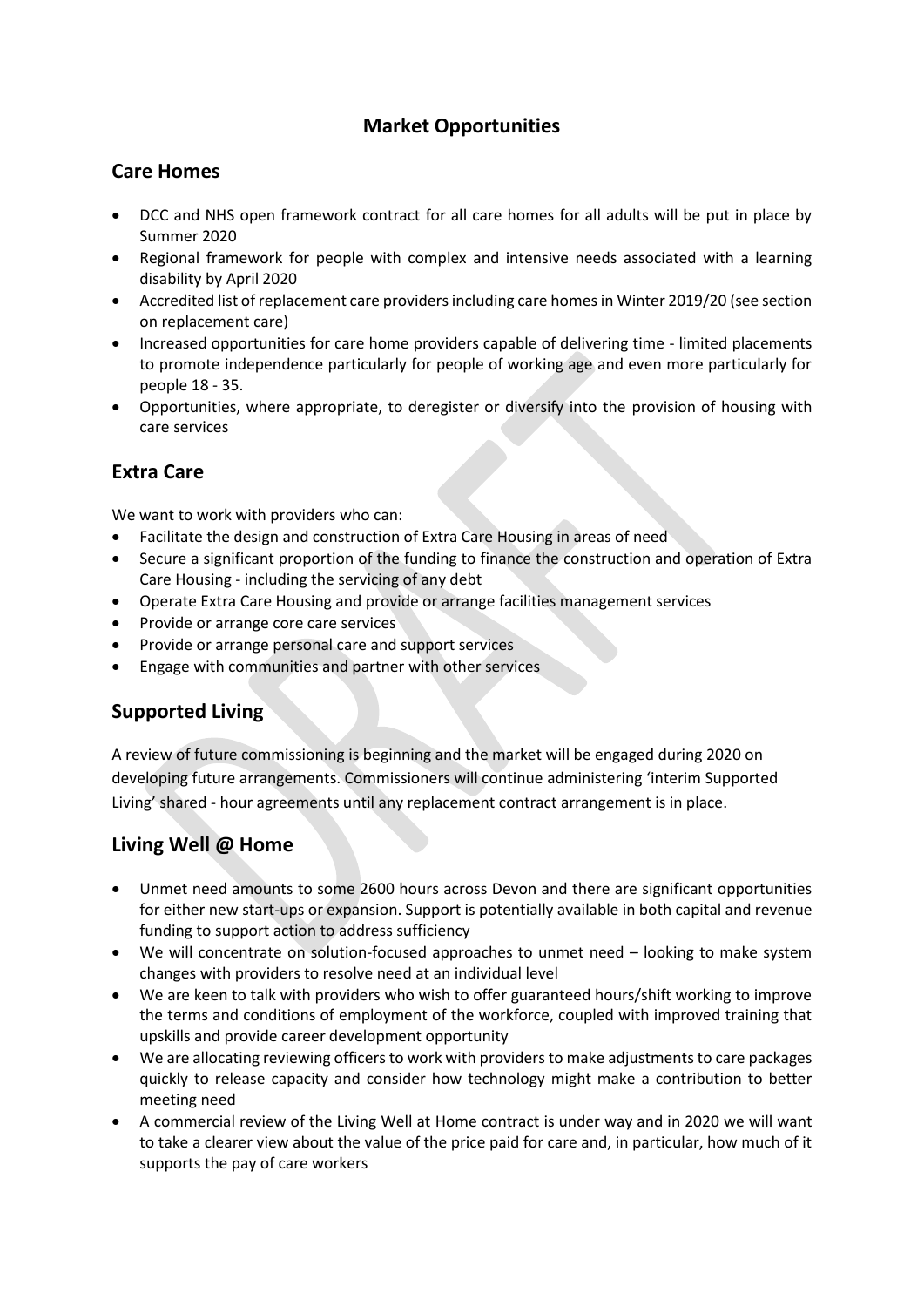# **Market Opportunities**

### **Care Homes**

- DCC and NHS open framework contract for all care homes for all adults will be put in place by Summer 2020
- Regional framework for people with complex and intensive needs associated with a learning disability by April 2020
- Accredited list of replacement care providers including care homes in Winter 2019/20 (see section on replacement care)
- Increased opportunities for care home providers capable of delivering time limited placements to promote independence particularly for people of working age and even more particularly for people 18 - 35.
- Opportunities, where appropriate, to deregister or diversify into the provision of housing with care services

# **Extra Care**

We want to work with providers who can:

- Facilitate the design and construction of Extra Care Housing in areas of need
- Secure a significant proportion of the funding to finance the construction and operation of Extra Care Housing - including the servicing of any debt
- Operate Extra Care Housing and provide or arrange facilities management services
- Provide or arrange core care services
- Provide or arrange personal care and support services
- Engage with communities and partner with other services

# **Supported Living**

A review of future commissioning is beginning and the market will be engaged during 2020 on developing future arrangements. Commissioners will continue administering 'interim Supported Living' shared - hour agreements until any replacement contract arrangement is in place.

# **Living Well @ Home**

- Unmet need amounts to some 2600 hours across Devon and there are significant opportunities for either new start-ups or expansion. Support is potentially available in both capital and revenue funding to support action to address sufficiency
- We will concentrate on solution-focused approaches to unmet need looking to make system changes with providers to resolve need at an individual level
- We are keen to talk with providers who wish to offer guaranteed hours/shift working to improve the terms and conditions of employment of the workforce, coupled with improved training that upskills and provide career development opportunity
- We are allocating reviewing officers to work with providers to make adjustments to care packages quickly to release capacity and consider how technology might make a contribution to better meeting need
- A commercial review of the Living Well at Home contract is under way and in 2020 we will want to take a clearer view about the value of the price paid for care and, in particular, how much of it supports the pay of care workers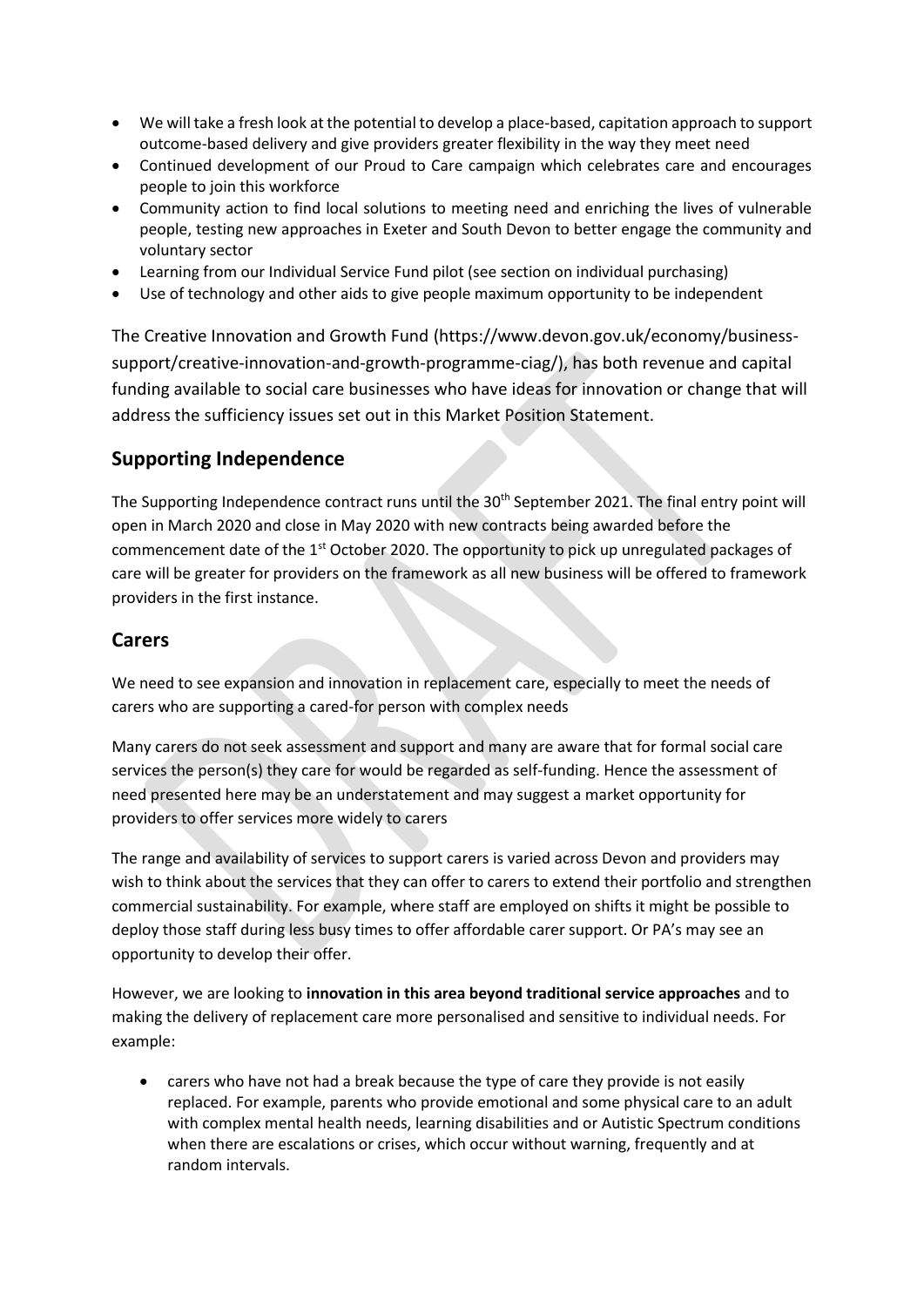- We will take a fresh look at the potential to develop a place-based, capitation approach to support outcome-based delivery and give providers greater flexibility in the way they meet need
- Continued development of our Proud to Care campaign which celebrates care and encourages people to join this workforce
- Community action to find local solutions to meeting need and enriching the lives of vulnerable people, testing new approaches in Exeter and South Devon to better engage the community and voluntary sector
- Learning from our Individual Service Fund pilot (see section on individual purchasing)
- Use of technology and other aids to give people maximum opportunity to be independent

The Creative Innovation and Growth Fund (https://www.devon.gov.uk/economy/businesssupport/creative-innovation-and-growth-programme-ciag/), has both revenue and capital funding available to social care businesses who have ideas for innovation or change that will address the sufficiency issues set out in this Market Position Statement.

### **Supporting Independence**

The Supporting Independence contract runs until the 30<sup>th</sup> September 2021. The final entry point will open in March 2020 and close in May 2020 with new contracts being awarded before the commencement date of the 1<sup>st</sup> October 2020. The opportunity to pick up unregulated packages of care will be greater for providers on the framework as all new business will be offered to framework providers in the first instance.

#### **Carers**

We need to see expansion and innovation in replacement care, especially to meet the needs of carers who are supporting a cared-for person with complex needs

Many carers do not seek assessment and support and many are aware that for formal social care services the person(s) they care for would be regarded as self-funding. Hence the assessment of need presented here may be an understatement and may suggest a market opportunity for providers to offer services more widely to carers

The range and availability of services to support carers is varied across Devon and providers may wish to think about the services that they can offer to carers to extend their portfolio and strengthen commercial sustainability. For example, where staff are employed on shifts it might be possible to deploy those staff during less busy times to offer affordable carer support. Or PA's may see an opportunity to develop their offer.

However, we are looking to **innovation in this area beyond traditional service approaches** and to making the delivery of replacement care more personalised and sensitive to individual needs. For example:

• carers who have not had a break because the type of care they provide is not easily replaced. For example, parents who provide emotional and some physical care to an adult with complex mental health needs, learning disabilities and or Autistic Spectrum conditions when there are escalations or crises, which occur without warning, frequently and at random intervals.